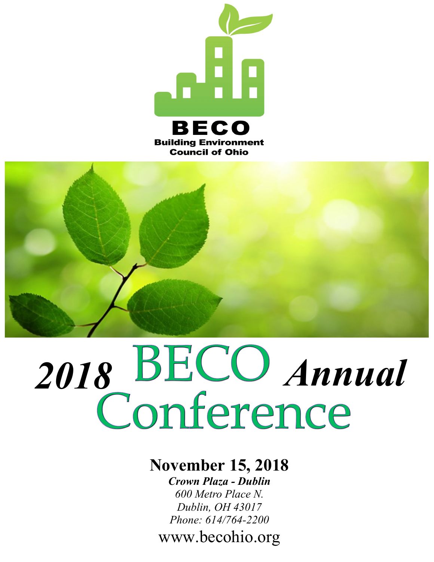



# 2018 **BECO** Annual

#### **November 15, 2018**

*Crown Plaza - Dublin 600 Metro Place N. Dublin, OH 43017 Phone: 614/764-2200*

www.becohio.org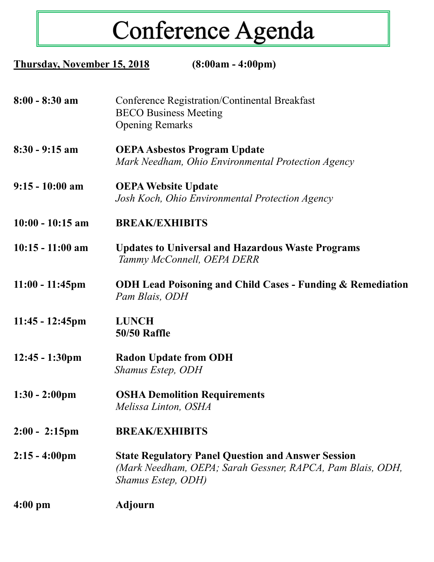# Conference Agenda

| Thursday, November 15, 2018 | $(8:00am - 4:00pm)$                                                                                                                           |
|-----------------------------|-----------------------------------------------------------------------------------------------------------------------------------------------|
| $8:00 - 8:30$ am            | Conference Registration/Continental Breakfast<br><b>BECO</b> Business Meeting<br><b>Opening Remarks</b>                                       |
| $8:30 - 9:15$ am            | <b>OEPA Asbestos Program Update</b><br>Mark Needham, Ohio Environmental Protection Agency                                                     |
| $9:15 - 10:00$ am           | <b>OEPA Website Update</b><br>Josh Koch, Ohio Environmental Protection Agency                                                                 |
| $10:00 - 10:15$ am          | <b>BREAK/EXHIBITS</b>                                                                                                                         |
| $10:15 - 11:00$ am          | <b>Updates to Universal and Hazardous Waste Programs</b><br>Tammy McConnell, OEPA DERR                                                        |
| $11:00 - 11:45$ pm          | <b>ODH Lead Poisoning and Child Cases - Funding &amp; Remediation</b><br>Pam Blais, ODH                                                       |
| $11:45 - 12:45$ pm          | <b>LUNCH</b><br><b>50/50 Raffle</b>                                                                                                           |
| $12:45 - 1:30 \text{pm}$    | <b>Radon Update from ODH</b><br><b>Shamus Estep, ODH</b>                                                                                      |
| $1:30 - 2:00 \text{pm}$     | <b>OSHA Demolition Requirements</b><br>Melissa Linton, OSHA                                                                                   |
| $2:00 - 2:15$ pm            | <b>BREAK/EXHIBITS</b>                                                                                                                         |
| $2:15 - 4:00 \text{pm}$     | <b>State Regulatory Panel Question and Answer Session</b><br>(Mark Needham, OEPA; Sarah Gessner, RAPCA, Pam Blais, ODH,<br>Shamus Estep, ODH) |
| $4:00 \text{ pm}$           | <b>Adjourn</b>                                                                                                                                |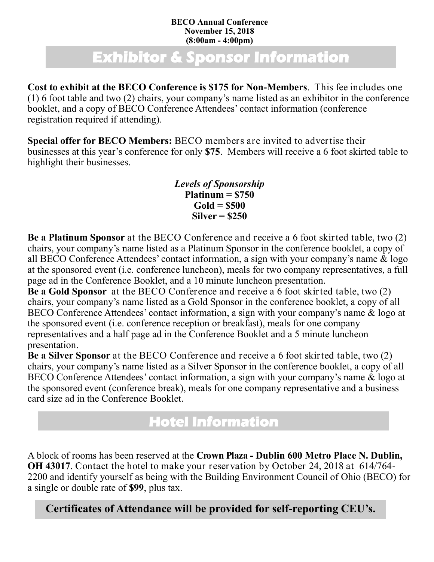#### **BECO Annual Conference November 15, 2018 (8:00am - 4:00pm)**

## **Exhibitor & Sponsor Information**

**Cost to exhibit at the BECO Conference is \$175 for Non-Members**. This fee includes one (1) 6 foot table and two (2) chairs, your company's name listed as an exhibitor in the conference booklet, and a copy of BECO Conference Attendees' contact information (conference registration required if attending).

**Special offer for BECO Members:** BECO members are invited to advertise their businesses at this year's conference for only **\$75**. Members will receive a 6 foot skirted table to highlight their businesses.

> *Levels of Sponsorship* **Platinum = \$750 Gold = \$500 Silver = \$250**

**Be a Platinum Sponsor** at the BECO Conference and receive a 6 foot skirted table, two (2) chairs, your company's name listed as a Platinum Sponsor in the conference booklet, a copy of all BECO Conference Attendees' contact information, a sign with your company's name & logo at the sponsored event (i.e. conference luncheon), meals for two company representatives, a full page ad in the Conference Booklet, and a 10 minute luncheon presentation.

**Be a Gold Sponsor** at the BECO Conference and receive a 6 foot skirted table, two (2) chairs, your company's name listed as a Gold Sponsor in the conference booklet, a copy of all BECO Conference Attendees' contact information, a sign with your company's name & logo at the sponsored event (i.e. conference reception or breakfast), meals for one company representatives and a half page ad in the Conference Booklet and a 5 minute luncheon presentation.

**Be a Silver Sponsor** at the BECO Conference and receive a 6 foot skirted table, two (2) chairs, your company's name listed as a Silver Sponsor in the conference booklet, a copy of all BECO Conference Attendees' contact information, a sign with your company's name & logo at the sponsored event (conference break), meals for one company representative and a business card size ad in the Conference Booklet.

### **Hotel Information**

A block of rooms has been reserved at the **Crown Plaza - Dublin 600 Metro Place N. Dublin, OH 43017**. Contact the hotel to make your reservation by October 24, 2018 at 614/764- 2200 and identify yourself as being with the Building Environment Council of Ohio (BECO) for a single or double rate of **\$99**, plus tax.

**Certificates of Attendance will be provided for self-reporting CEU's.**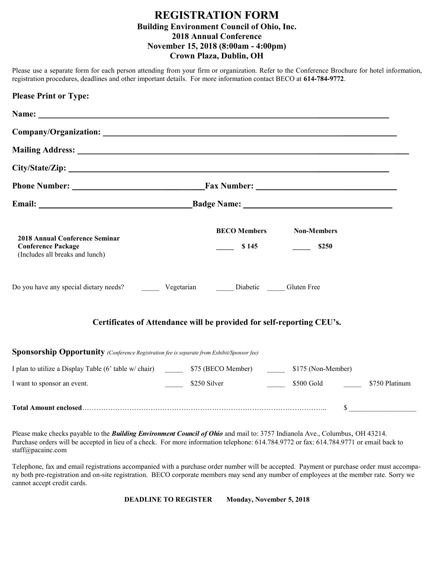#### **REGISTRATION FORM Building Environment Council of Ohio, Inc. 2018 Annual Conference November 15, 2018 (8:00am - 4:00pm) Crown Plaza, Dublin, OH**

Please use a separate form for each person attending from your firm or organization. Refer to the Conference Brochure for hotel information, registration procedures, deadlines and other important details. For more information contact BECO at **614-784-9772**.

| <b>Please Print or Type:</b>                                                                                                                                                                                                   |                                                                       |                             |                |
|--------------------------------------------------------------------------------------------------------------------------------------------------------------------------------------------------------------------------------|-----------------------------------------------------------------------|-----------------------------|----------------|
| Name: Name and the state of the state of the state of the state of the state of the state of the state of the state of the state of the state of the state of the state of the state of the state of the state of the state of |                                                                       |                             |                |
|                                                                                                                                                                                                                                |                                                                       |                             |                |
|                                                                                                                                                                                                                                |                                                                       |                             |                |
|                                                                                                                                                                                                                                |                                                                       |                             |                |
|                                                                                                                                                                                                                                |                                                                       |                             |                |
|                                                                                                                                                                                                                                |                                                                       |                             |                |
| <b>2018 Annual Conference Seminar</b><br><b>Conference Package</b><br>(Includes all breaks and lunch)                                                                                                                          | <b>BECO Members</b><br>\$145                                          | <b>Non-Members</b><br>\$250 |                |
| Do you have any special dietary needs? Vegetarian Diabetic Cluten Free                                                                                                                                                         |                                                                       |                             |                |
|                                                                                                                                                                                                                                | Certificates of Attendance will be provided for self-reporting CEU's. |                             |                |
| <b>Sponsorship Opportunity</b> (Conference Registration fee is separate from Exhibit/Sponsor fee)                                                                                                                              |                                                                       |                             |                |
| I plan to utilize a Display Table (6' table w/ chair) 575 (BECO Member) 5175 (Non-Member)                                                                                                                                      |                                                                       |                             |                |
| I want to sponsor an event.                                                                                                                                                                                                    | \$250 Silver \$500 Gold                                               |                             | \$750 Platinum |
|                                                                                                                                                                                                                                |                                                                       | \$                          |                |

Please make checks payable to the *Building Environment Council of Ohio* and mail to: 3757 Indianola Ave., Columbus, OH 43214. Purchase orders will be accepted in lieu of a check. For more information telephone: 614.784.9772 or fax: 614.784.9771 or email back to staff@pacainc.com

Telephone, fax and email registrations accompanied with a purchase order number will be accepted. Payment or purchase order must accompany both pre-registration and on-site registration. BECO corporate members may send any number of employees at the member rate. Sorry we cannot accept credit cards.

**DEADLINE TO REGISTER Monday, November 5, 2018**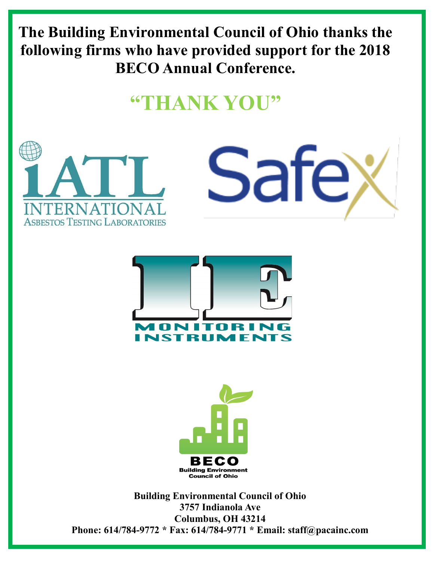**The Building Environmental Council of Ohio thanks the following firms who have provided support for the 2018 BECO Annual Conference.**

## **"THANK YOU"**

Safe)







**Building Environmental Council of Ohio 3757 Indianola Ave Columbus, OH 43214 Phone: 614/784-9772 \* Fax: 614/784-9771 \* Email: staff@pacainc.com**